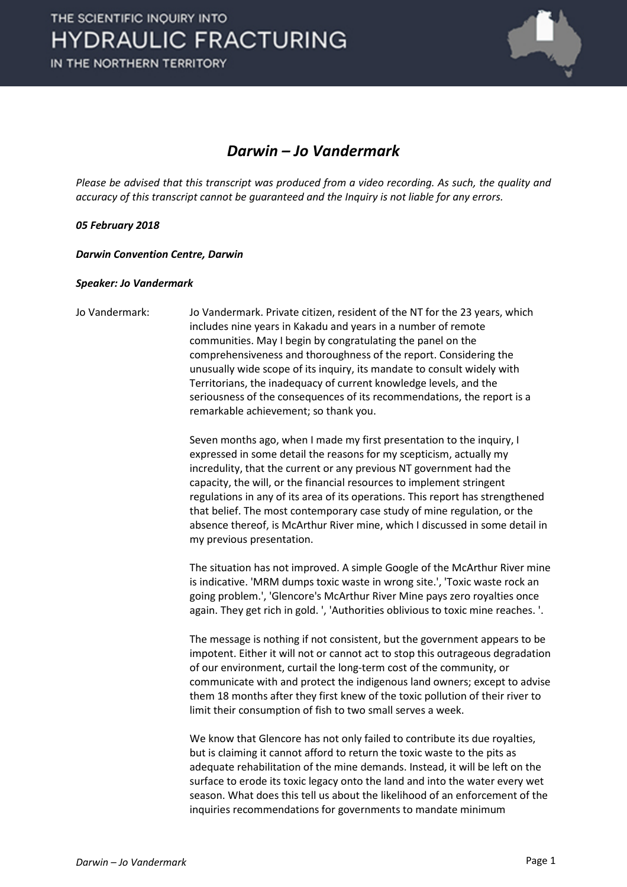

## *Darwin – Jo Vandermark*

*Please be advised that this transcript was produced from a video recording. As such, the quality and accuracy of this transcript cannot be guaranteed and the Inquiry is not liable for any errors.*

## *05 February 2018*

*Darwin Convention Centre, Darwin* 

## *Speaker: Jo Vandermark*

Jo Vandermark: Jo Vandermark. Private citizen, resident of the NT for the 23 years, which includes nine years in Kakadu and years in a number of remote communities. May I begin by congratulating the panel on the comprehensiveness and thoroughness of the report. Considering the unusually wide scope of its inquiry, its mandate to consult widely with Territorians, the inadequacy of current knowledge levels, and the seriousness of the consequences of its recommendations, the report is a remarkable achievement; so thank you.

> Seven months ago, when I made my first presentation to the inquiry, I expressed in some detail the reasons for my scepticism, actually my incredulity, that the current or any previous NT government had the capacity, the will, or the financial resources to implement stringent regulations in any of its area of its operations. This report has strengthened that belief. The most contemporary case study of mine regulation, or the absence thereof, is McArthur River mine, which I discussed in some detail in my previous presentation.

The situation has not improved. A simple Google of the McArthur River mine is indicative. 'MRM dumps toxic waste in wrong site.', 'Toxic waste rock an going problem.', 'Glencore's McArthur River Mine pays zero royalties once again. They get rich in gold. ', 'Authorities oblivious to toxic mine reaches. '.

The message is nothing if not consistent, but the government appears to be impotent. Either it will not or cannot act to stop this outrageous degradation of our environment, curtail the long-term cost of the community, or communicate with and protect the indigenous land owners; except to advise them 18 months after they first knew of the toxic pollution of their river to limit their consumption of fish to two small serves a week.

We know that Glencore has not only failed to contribute its due royalties, but is claiming it cannot afford to return the toxic waste to the pits as adequate rehabilitation of the mine demands. Instead, it will be left on the surface to erode its toxic legacy onto the land and into the water every wet season. What does this tell us about the likelihood of an enforcement of the inquiries recommendations for governments to mandate minimum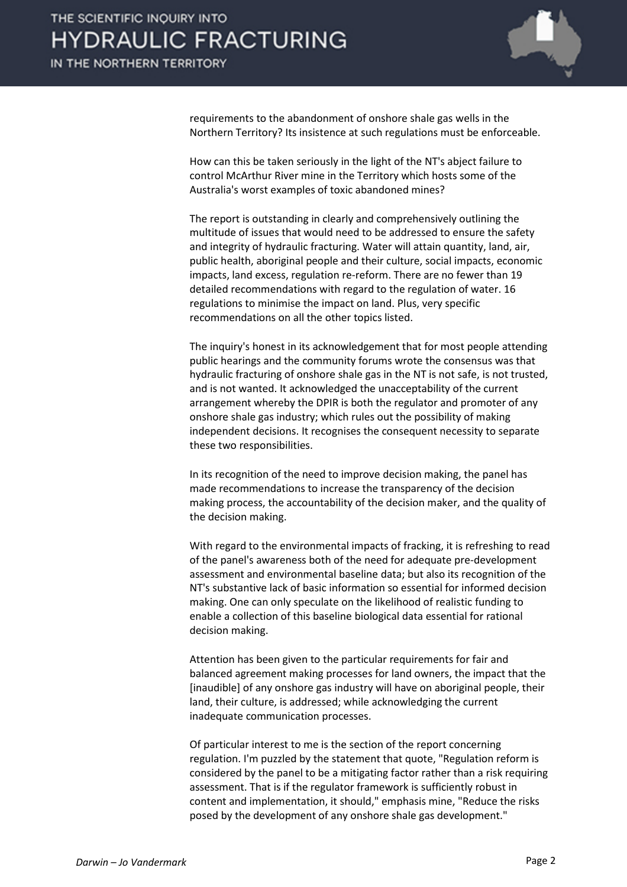

requirements to the abandonment of onshore shale gas wells in the Northern Territory? Its insistence at such regulations must be enforceable.

How can this be taken seriously in the light of the NT's abject failure to control McArthur River mine in the Territory which hosts some of the Australia's worst examples of toxic abandoned mines?

The report is outstanding in clearly and comprehensively outlining the multitude of issues that would need to be addressed to ensure the safety and integrity of hydraulic fracturing. Water will attain quantity, land, air, public health, aboriginal people and their culture, social impacts, economic impacts, land excess, regulation re-reform. There are no fewer than 19 detailed recommendations with regard to the regulation of water. 16 regulations to minimise the impact on land. Plus, very specific recommendations on all the other topics listed.

The inquiry's honest in its acknowledgement that for most people attending public hearings and the community forums wrote the consensus was that hydraulic fracturing of onshore shale gas in the NT is not safe, is not trusted, and is not wanted. It acknowledged the unacceptability of the current arrangement whereby the DPIR is both the regulator and promoter of any onshore shale gas industry; which rules out the possibility of making independent decisions. It recognises the consequent necessity to separate these two responsibilities.

In its recognition of the need to improve decision making, the panel has made recommendations to increase the transparency of the decision making process, the accountability of the decision maker, and the quality of the decision making.

With regard to the environmental impacts of fracking, it is refreshing to read of the panel's awareness both of the need for adequate pre-development assessment and environmental baseline data; but also its recognition of the NT's substantive lack of basic information so essential for informed decision making. One can only speculate on the likelihood of realistic funding to enable a collection of this baseline biological data essential for rational decision making.

Attention has been given to the particular requirements for fair and balanced agreement making processes for land owners, the impact that the [inaudible] of any onshore gas industry will have on aboriginal people, their land, their culture, is addressed; while acknowledging the current inadequate communication processes.

Of particular interest to me is the section of the report concerning regulation. I'm puzzled by the statement that quote, "Regulation reform is considered by the panel to be a mitigating factor rather than a risk requiring assessment. That is if the regulator framework is sufficiently robust in content and implementation, it should," emphasis mine, "Reduce the risks posed by the development of any onshore shale gas development."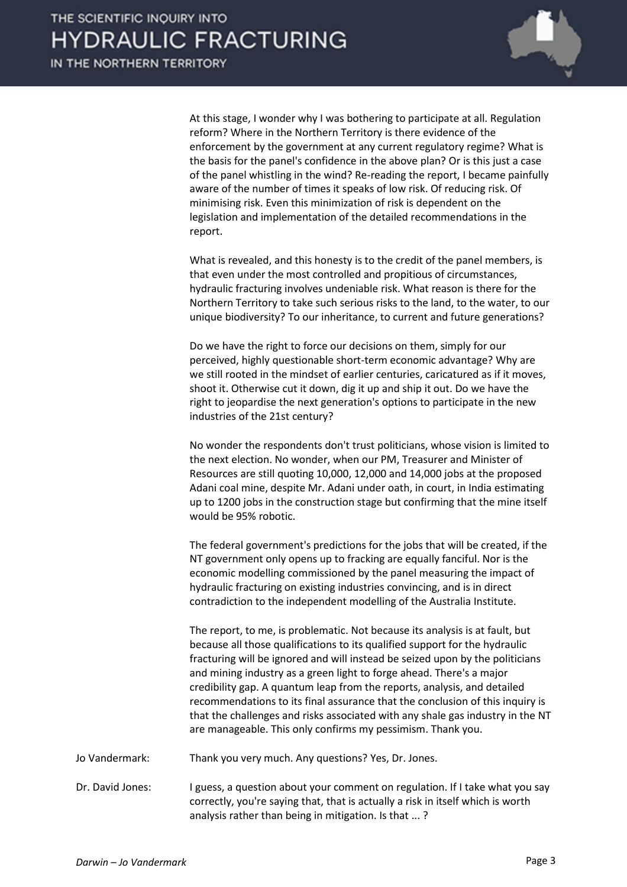

At this stage, I wonder why I was bothering to participate at all. Regulation reform? Where in the Northern Territory is there evidence of the enforcement by the government at any current regulatory regime? What is the basis for the panel's confidence in the above plan? Or is this just a case of the panel whistling in the wind? Re-reading the report, I became painfully aware of the number of times it speaks of low risk. Of reducing risk. Of minimising risk. Even this minimization of risk is dependent on the legislation and implementation of the detailed recommendations in the report.

What is revealed, and this honesty is to the credit of the panel members, is that even under the most controlled and propitious of circumstances, hydraulic fracturing involves undeniable risk. What reason is there for the Northern Territory to take such serious risks to the land, to the water, to our unique biodiversity? To our inheritance, to current and future generations?

Do we have the right to force our decisions on them, simply for our perceived, highly questionable short-term economic advantage? Why are we still rooted in the mindset of earlier centuries, caricatured as if it moves, shoot it. Otherwise cut it down, dig it up and ship it out. Do we have the right to jeopardise the next generation's options to participate in the new industries of the 21st century?

No wonder the respondents don't trust politicians, whose vision is limited to the next election. No wonder, when our PM, Treasurer and Minister of Resources are still quoting 10,000, 12,000 and 14,000 jobs at the proposed Adani coal mine, despite Mr. Adani under oath, in court, in India estimating up to 1200 jobs in the construction stage but confirming that the mine itself would be 95% robotic.

The federal government's predictions for the jobs that will be created, if the NT government only opens up to fracking are equally fanciful. Nor is the economic modelling commissioned by the panel measuring the impact of hydraulic fracturing on existing industries convincing, and is in direct contradiction to the independent modelling of the Australia Institute.

The report, to me, is problematic. Not because its analysis is at fault, but because all those qualifications to its qualified support for the hydraulic fracturing will be ignored and will instead be seized upon by the politicians and mining industry as a green light to forge ahead. There's a major credibility gap. A quantum leap from the reports, analysis, and detailed recommendations to its final assurance that the conclusion of this inquiry is that the challenges and risks associated with any shale gas industry in the NT are manageable. This only confirms my pessimism. Thank you.

Jo Vandermark: Thank you very much. Any questions? Yes, Dr. Jones.

Dr. David Jones: I guess, a question about your comment on regulation. If I take what you say correctly, you're saying that, that is actually a risk in itself which is worth analysis rather than being in mitigation. Is that ... ?